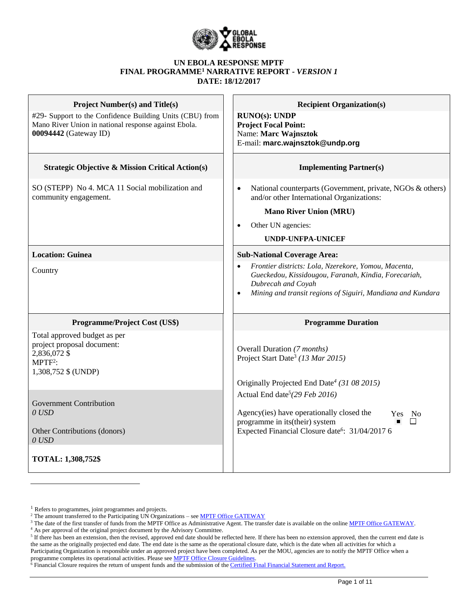

#### **UN EBOLA RESPONSE MPTF FINAL PROGRAMME<sup>1</sup> NARRATIVE REPORT -** *VERSION 1* **DATE: 18/12/2017**

| <b>Project Number(s) and Title(s)</b>                                                                                                     | <b>Recipient Organization(s)</b>                                                                                                                                                                        |
|-------------------------------------------------------------------------------------------------------------------------------------------|---------------------------------------------------------------------------------------------------------------------------------------------------------------------------------------------------------|
| #29- Support to the Confidence Building Units (CBU) from<br>Mano River Union in national response against Ebola.<br>00094442 (Gateway ID) | <b>RUNO(s): UNDP</b><br><b>Project Focal Point:</b><br>Name: Marc Wajnsztok<br>E-mail: marc.wajnsztok@undp.org                                                                                          |
| <b>Strategic Objective &amp; Mission Critical Action(s)</b>                                                                               | <b>Implementing Partner(s)</b>                                                                                                                                                                          |
| SO (STEPP) No 4. MCA 11 Social mobilization and<br>community engagement.                                                                  | National counterparts (Government, private, NGOs & others)<br>and/or other International Organizations:                                                                                                 |
|                                                                                                                                           | <b>Mano River Union (MRU)</b>                                                                                                                                                                           |
|                                                                                                                                           | Other UN agencies:                                                                                                                                                                                      |
|                                                                                                                                           | <b>UNDP-UNFPA-UNICEF</b>                                                                                                                                                                                |
| <b>Location: Guinea</b>                                                                                                                   | <b>Sub-National Coverage Area:</b>                                                                                                                                                                      |
| Country                                                                                                                                   | Frontier districts: Lola, Nzerekore, Yomou, Macenta,<br>Gueckedou, Kissidougou, Faranah, Kindia, Forecariah,<br>Dubrecah and Coyah<br>Mining and transit regions of Siguiri, Mandiana and Kundara       |
| <b>Programme/Project Cost (US\$)</b>                                                                                                      | <b>Programme Duration</b>                                                                                                                                                                               |
| Total approved budget as per<br>project proposal document:<br>2,836,072 \$<br>$MPTF2$ :<br>1,308,752 \$ (UNDP)                            | Overall Duration (7 months)<br>Project Start Date <sup>3</sup> (13 Mar 2015)<br>Originally Projected End Date <sup>4</sup> (31 08 2015)                                                                 |
| <b>Government Contribution</b><br>$0$ USD<br>Other Contributions (donors)<br>$0$ USD                                                      | Actual End date <sup>5</sup> (29 Feb 2016)<br>Agency(ies) have operationally closed the<br>Yes No<br>programme in its(their) system<br>П<br>Expected Financial Closure date <sup>6</sup> : 31/04/2017 6 |
| <b>TOTAL: 1,308,752\$</b>                                                                                                                 |                                                                                                                                                                                                         |

 $\overline{a}$ 

<sup>&</sup>lt;sup>1</sup> Refers to programmes, joint programmes and projects.

<sup>&</sup>lt;sup>2</sup> The amount transferred to the Participating UN Organizations – see **MPTF Office GATEWAY** 

<sup>&</sup>lt;sup>3</sup> The date of the first transfer of funds from the MPTF Office as Administrative Agent. The transfer date is available on the online [MPTF Office GATEWAY.](http://mdtf.undp.org/)

<sup>4</sup> As per approval of the original project document by the Advisory Committee.

 $5$  If there has been an extension, then the revised, approved end date should be reflected here. If there has been no extension approved, then the current end date is the same as the originally projected end date. The end date is the same as the operational closure date, which is the date when all activities for which a Participating Organization is responsible under an approved project have been completed. As per the MOU, agencies are to notify the MPTF Office when a programme completes its operational activities. Please see **MPTF Office Closure Guidelines**.

 $\delta$  Financial Closure requires the return of unspent funds and the submission of th[e Certified Final Financial Statement and Report.](http://mdtf.undp.org/document/download/5388)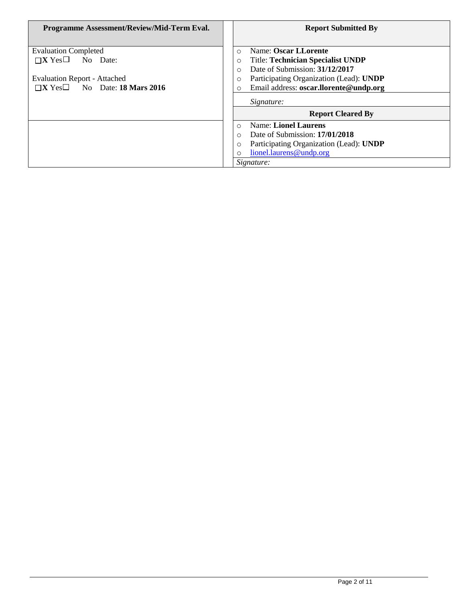| Programme Assessment/Review/Mid-Term Eval.                                                                                                             | <b>Report Submitted By</b>                                                                                                                                                                                                                        |
|--------------------------------------------------------------------------------------------------------------------------------------------------------|---------------------------------------------------------------------------------------------------------------------------------------------------------------------------------------------------------------------------------------------------|
| <b>Evaluation Completed</b><br>$\Box$ <b>X</b> Yes $\Box$ No Date:<br><b>Evaluation Report - Attached</b><br>$\Box X$ Yes $\Box$ No Date: 18 Mars 2016 | Name: Oscar LLorente<br>$\Omega$<br><b>Title: Technician Specialist UNDP</b><br>$\circ$<br>Date of Submission: 31/12/2017<br>$\Omega$<br>Participating Organization (Lead): UNDP<br>$\circ$<br>Email address: oscar.llorente@undp.org<br>$\Omega$ |
|                                                                                                                                                        | Signature:<br><b>Report Cleared By</b>                                                                                                                                                                                                            |
|                                                                                                                                                        | <b>Name: Lionel Laurens</b><br>$\Omega$<br>Date of Submission: 17/01/2018<br>$\Omega$<br>Participating Organization (Lead): UNDP<br>$\circ$<br>lionel.laurens@undp.org<br>$\Omega$<br>Signature:                                                  |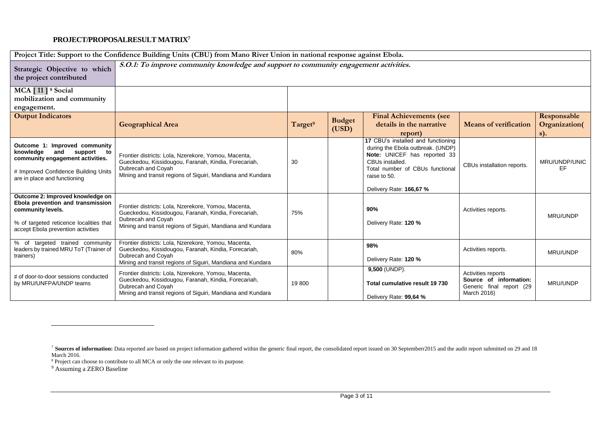## **PROJECT/PROPOSALRESULT MATRIX<sup>7</sup>**

| Project Title: Support to the Confidence Building Units (CBU) from Mano River Union in national response against Ebola.                                                     |                                                                                                                                                                                                   |                     |                        |                                                                                                                                                                                                          |                                                                                         |                                        |
|-----------------------------------------------------------------------------------------------------------------------------------------------------------------------------|---------------------------------------------------------------------------------------------------------------------------------------------------------------------------------------------------|---------------------|------------------------|----------------------------------------------------------------------------------------------------------------------------------------------------------------------------------------------------------|-----------------------------------------------------------------------------------------|----------------------------------------|
| Strategic Objective to which<br>the project contributed                                                                                                                     | S.O.1: To improve community knowledge and support to community engagement activities.                                                                                                             |                     |                        |                                                                                                                                                                                                          |                                                                                         |                                        |
| MCA [11] <sup>8</sup> Social<br>mobilization and community<br>engagement.                                                                                                   |                                                                                                                                                                                                   |                     |                        |                                                                                                                                                                                                          |                                                                                         |                                        |
| <b>Output Indicators</b>                                                                                                                                                    | <b>Geographical Area</b>                                                                                                                                                                          | Target <sup>9</sup> | <b>Budget</b><br>(USD) | <b>Final Achievements (see</b><br>details in the narrative<br>report)                                                                                                                                    | <b>Means of verification</b>                                                            | Responsable<br>Organization(<br>$s)$ . |
| Outcome 1: Improved community<br>knowledge<br>and<br>support to<br>community engagement activities.<br># Improved Confidence Building Units<br>are in place and functioning | Frontier districts: Lola, Nzerekore, Yomou, Macenta,<br>Gueckedou, Kissidougou, Faranah, Kindia, Forecariah,<br>Dubrecah and Coyah<br>Mining and transit regions of Siguiri, Mandiana and Kundara | 30                  |                        | 17 CBU's installed and functioning<br>during the Ebola outbreak. (UNDP)<br>Note: UNICEF has reported 33<br>CBUs installed.<br>Total number of CBUs functional<br>raise to 50.<br>Delivery Rate: 166,67 % | CBUs installation reports.                                                              | MRU/UNDP/UNIC<br>EF                    |
| Outcome 2: Improved knowledge on<br>Ebola prevention and transmission<br>community levels.<br>% of targeted reticence localities that<br>accept Ebola prevention activities | Frontier districts: Lola, Nzerekore, Yomou, Macenta,<br>Gueckedou, Kissidougou, Faranah, Kindia, Forecariah,<br>Dubrecah and Coyah<br>Mining and transit regions of Siguiri, Mandiana and Kundara | 75%                 |                        | 90%<br>Delivery Rate: 120 %                                                                                                                                                                              | Activities reports.                                                                     | MRU/UNDP                               |
| % of targeted trained community<br>leaders by trained MRU ToT (Trainer of<br>trainers)                                                                                      | Frontier districts: Lola, Nzerekore, Yomou, Macenta,<br>Gueckedou, Kissidougou, Faranah, Kindia, Forecariah,<br>Dubrecah and Coyah<br>Mining and transit regions of Siguiri, Mandiana and Kundara | 80%                 |                        | 98%<br>Delivery Rate: 120 %                                                                                                                                                                              | Activities reports.                                                                     | MRU/UNDP                               |
| # of door-to-door sessions conducted<br>by MRU/UNFPA/UNDP teams                                                                                                             | Frontier districts: Lola, Nzerekore, Yomou, Macenta,<br>Gueckedou, Kissidougou, Faranah, Kindia, Forecariah,<br>Dubrecah and Coyah<br>Mining and transit regions of Siguiri, Mandiana and Kundara | 19800               |                        | 9,500 (UNDP).<br>Total cumulative result 19 730<br>Delivery Rate: 99,64 %                                                                                                                                | Activities reports<br>Source of information:<br>Generic final report (29<br>March 2016) | MRU/UNDP                               |

 $\overline{a}$ 

<sup>&</sup>lt;sup>7</sup> **Sources of information:** Data reported are based on project information gathered within the generic final report, the consolidated report issued on 30 Septemberr2015 and the audit report submitted on 29 and 18 March 2016.

<sup>&</sup>lt;sup>8</sup> Project can choose to contribute to all MCA or only the one relevant to its purpose.

<sup>&</sup>lt;sup>9</sup> Assuming a ZERO Baseline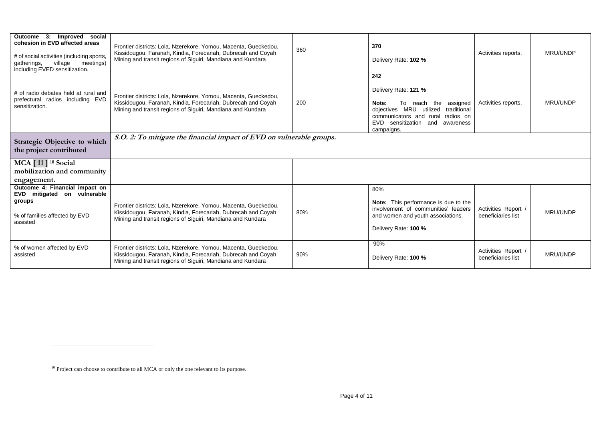| Improved social<br>Outcome 3:<br>cohesion in EVD affected areas<br># of social activities (including sports,<br>meetings)<br>village<br>gatherings,<br>including EVED sensitization. | Frontier districts: Lola, Nzerekore, Yomou, Macenta, Gueckedou,<br>Kissidougou, Faranah, Kindia, Forecariah, Dubrecah and Coyah<br>Mining and transit regions of Siguiri, Mandiana and Kundara | 360 | 370<br>Delivery Rate: 102 %                                                                                                                                                                | Activities reports.                       | MRU/UNDP |
|--------------------------------------------------------------------------------------------------------------------------------------------------------------------------------------|------------------------------------------------------------------------------------------------------------------------------------------------------------------------------------------------|-----|--------------------------------------------------------------------------------------------------------------------------------------------------------------------------------------------|-------------------------------------------|----------|
| # of radio debates held at rural and<br>prefectural radios including EVD<br>sensitization.                                                                                           | Frontier districts: Lola, Nzerekore, Yomou, Macenta, Gueckedou,<br>Kissidougou, Faranah, Kindia, Forecariah, Dubrecah and Coyah<br>Mining and transit regions of Siguiri, Mandiana and Kundara | 200 | 242<br>Delivery Rate: 121 %<br>To reach the assigned<br>Note:<br>objectives MRU utilized traditional<br>communicators and rural radios on<br>EVD sensitization and awareness<br>campaigns. | Activities reports.                       | MRU/UNDP |
| Strategic Objective to which<br>the project contributed                                                                                                                              | S.O. 2: To mitigate the financial impact of EVD on vulnerable groups.                                                                                                                          |     |                                                                                                                                                                                            |                                           |          |
| <b>MCA</b> [11] <sup>10</sup> Social<br>mobilization and community<br>engagement.                                                                                                    |                                                                                                                                                                                                |     |                                                                                                                                                                                            |                                           |          |
| Outcome 4: Financial impact on<br>EVD mitigated on vulnerable<br>groups<br>% of families affected by EVD<br>assisted                                                                 | Frontier districts: Lola, Nzerekore, Yomou, Macenta, Gueckedou,<br>Kissidougou, Faranah, Kindia, Forecariah, Dubrecah and Coyah<br>Mining and transit regions of Siguiri, Mandiana and Kundara | 80% | 80%<br>Note: This performance is due to the<br>involvement of communities' leaders<br>and women and youth associations.<br>Delivery Rate: 100 %                                            | Activities Report<br>beneficiaries list   | MRU/UNDP |
| % of women affected by EVD<br>assisted                                                                                                                                               | Frontier districts: Lola, Nzerekore, Yomou, Macenta, Gueckedou,<br>Kissidougou, Faranah, Kindia, Forecariah, Dubrecah and Coyah<br>Mining and transit regions of Siguiri, Mandiana and Kundara | 90% | 90%<br>Delivery Rate: 100 %                                                                                                                                                                | Activities Report /<br>beneficiaries list | MRU/UNDP |

 $\overline{a}$ 

<sup>&</sup>lt;sup>10</sup> Project can choose to contribute to all MCA or only the one relevant to its purpose.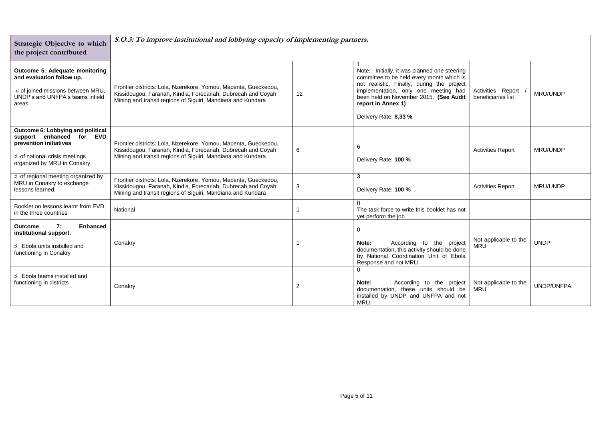| Strategic Objective to which<br>the project contributed                                                                                                 | S.O.3: To improve institutional and lobbying capacity of implementing partners.                                                                                                                |                |                                                                                                                                                                                                                                                                          |                                         |                 |
|---------------------------------------------------------------------------------------------------------------------------------------------------------|------------------------------------------------------------------------------------------------------------------------------------------------------------------------------------------------|----------------|--------------------------------------------------------------------------------------------------------------------------------------------------------------------------------------------------------------------------------------------------------------------------|-----------------------------------------|-----------------|
| Outcome 5: Adequate monitoring<br>and evaluation follow up.<br># of joined missions between MRU,<br>UNDP's and UNFPA's teams infield<br>areas           | Frontier districts: Lola, Nzerekore, Yomou, Macenta, Gueckedou,<br>Kissidougou, Faranah, Kindia, Forecariah, Dubrecah and Coyah<br>Mining and transit regions of Siguiri, Mandiana and Kundara | 12             | Note: Initially, it was planned one steering<br>committee to be held every month which is<br>not realistic. Finally, during the project<br>implementation, only one meeting had<br>been held on November 2015. (See Audit<br>report in Annex 1)<br>Delivery Rate: 8,33 % | Activities Report<br>beneficiaries list | MRU/UNDP        |
| Outcome 6: Lobbying and political<br>support enhanced for EVD<br>prevention initiatives<br># of national crisis meetings<br>organized by MRU in Conakry | Frontier districts: Lola, Nzerekore, Yomou, Macenta, Gueckedou,<br>Kissidougou, Faranah, Kindia, Forecariah, Dubrecah and Coyah<br>Mining and transit regions of Siguiri, Mandiana and Kundara | 6              | 6<br>Delivery Rate: 100 %                                                                                                                                                                                                                                                | <b>Activities Report</b>                | <b>MRU/UNDP</b> |
| # of regional meeting organized by<br>MRU in Conakry to exchange<br>lessons learned.                                                                    | Frontier districts: Lola, Nzerekore, Yomou, Macenta, Gueckedou,<br>Kissidougou, Faranah, Kindia, Forecariah, Dubrecah and Coyah<br>Mining and transit regions of Siguiri, Mandiana and Kundara | 3              | 3<br>Delivery Rate: 100 %                                                                                                                                                                                                                                                | <b>Activities Report</b>                | <b>MRU/UNDP</b> |
| Booklet on lessons learnt from EVD<br>in the three countries                                                                                            | National                                                                                                                                                                                       |                | The task force to write this booklet has not<br>yet perform the job.                                                                                                                                                                                                     |                                         |                 |
| 7:<br>Enhanced<br><b>Outcome</b><br>institutional support.<br># Ebola units installed and<br>functioning in Conakry                                     | Conakry                                                                                                                                                                                        |                | 0<br>According to the project<br>Note:<br>documentation, this activity should be done<br>by National Coordination Unit of Ebola<br>Response and not MRU.                                                                                                                 | Not applicable to the<br><b>MRU</b>     | <b>UNDP</b>     |
| # Ebola teams installed and<br>functioning in districts                                                                                                 | Conakry                                                                                                                                                                                        | $\overline{2}$ | Note:<br>According to the project<br>documentation, these units should be<br>installed by UNDP and UNFPA and not<br>MRU.                                                                                                                                                 | Not applicable to the<br><b>MRU</b>     | UNDP/UNFPA      |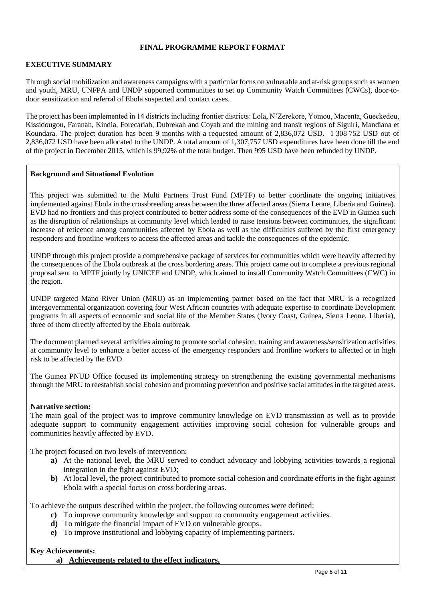# **FINAL PROGRAMME REPORT FORMAT**

## **EXECUTIVE SUMMARY**

Through social mobilization and awareness campaigns with a particular focus on vulnerable and at-risk groups such as women and youth, MRU, UNFPA and UNDP supported communities to set up Community Watch Committees (CWCs), door-todoor sensitization and referral of Ebola suspected and contact cases.

The project has been implemented in 14 districts including frontier districts: Lola, N'Zerekore, Yomou, Macenta, Gueckedou, Kissidougou, Faranah, Kindia, Forecariah, Dubrekah and Coyah and the mining and transit regions of Siguiri, Mandiana et Koundara. The project duration has been 9 months with a requested amount of 2,836,072 USD. 1 308 752 USD out of 2,836,072 USD have been allocated to the UNDP. A total amount of 1,307,757 USD expenditures have been done till the end of the project in December 2015, which is 99,92% of the total budget. Then 995 USD have been refunded by UNDP.

#### **Background and Situational Evolution**

This project was submitted to the Multi Partners Trust Fund (MPTF) to better coordinate the ongoing initiatives implemented against Ebola in the crossbreeding areas between the three affected areas (Sierra Leone, Liberia and Guinea). EVD had no frontiers and this project contributed to better address some of the consequences of the EVD in Guinea such as the disruption of relationships at community level which leaded to raise tensions between communities, the significant increase of reticence among communities affected by Ebola as well as the difficulties suffered by the first emergency responders and frontline workers to access the affected areas and tackle the consequences of the epidemic.

UNDP through this project provide a comprehensive package of services for communities which were heavily affected by the consequences of the Ebola outbreak at the cross bordering areas. This project came out to complete a previous regional proposal sent to MPTF jointly by UNICEF and UNDP, which aimed to install Community Watch Committees (CWC) in the region.

UNDP targeted Mano River Union (MRU) as an implementing partner based on the fact that MRU is a recognized intergovernmental organization covering four West African countries with adequate expertise to coordinate Development programs in all aspects of economic and social life of the Member States (Ivory Coast, Guinea, Sierra Leone, Liberia), three of them directly affected by the Ebola outbreak.

The document planned several activities aiming to promote social cohesion, training and awareness/sensitization activities at community level to enhance a better access of the emergency responders and frontline workers to affected or in high risk to be affected by the EVD.

The Guinea PNUD Office focused its implementing strategy on strengthening the existing governmental mechanisms through the MRU to reestablish social cohesion and promoting prevention and positive social attitudes in the targeted areas.

## **Narrative section:**

The main goal of the project was to improve community knowledge on EVD transmission as well as to provide adequate support to community engagement activities improving social cohesion for vulnerable groups and communities heavily affected by EVD.

The project focused on two levels of intervention:

- **a)** At the national level, the MRU served to conduct advocacy and lobbying activities towards a regional integration in the fight against EVD;
- **b**) At local level, the project contributed to promote social cohesion and coordinate efforts in the fight against Ebola with a special focus on cross bordering areas.

To achieve the outputs described within the project, the following outcomes were defined:

- **c)** To improve community knowledge and support to community engagement activities.
- **d)** To mitigate the financial impact of EVD on vulnerable groups.
- **e)** To improve institutional and lobbying capacity of implementing partners.

## **Key Achievements:**

## **a) Achievements related to the effect indicators.**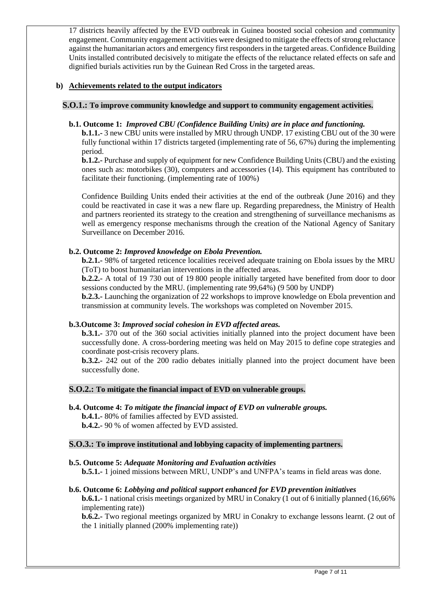17 districts heavily affected by the EVD outbreak in Guinea boosted social cohesion and community engagement. Community engagement activities were designed to mitigate the effects of strong reluctance against the humanitarian actors and emergency first responders in the targeted areas. Confidence Building Units installed contributed decisively to mitigate the effects of the reluctance related effects on safe and dignified burials activities run by the Guinean Red Cross in the targeted areas.

# **b) Achievements related to the output indicators**

# **S.O.1.: To improve community knowledge and support to community engagement activities.**

# **b.1. Outcome 1:** *Improved CBU (Confidence Building Units) are in place and functioning.*

**b.1.1.-** 3 new CBU units were installed by MRU through UNDP. 17 existing CBU out of the 30 were fully functional within 17 districts targeted (implementing rate of 56, 67%) during the implementing period.

**b.1.2.-** Purchase and supply of equipment for new Confidence Building Units (CBU) and the existing ones such as: motorbikes (30), computers and accessories (14). This equipment has contributed to facilitate their functioning. (implementing rate of 100%)

Confidence Building Units ended their activities at the end of the outbreak (June 2016) and they could be reactivated in case it was a new flare up. Regarding preparedness, the Ministry of Health and partners reoriented its strategy to the creation and strengthening of surveillance mechanisms as well as emergency response mechanisms through the creation of the National Agency of Sanitary Surveillance on December 2016.

# **b.2. Outcome 2:** *Improved knowledge on Ebola Prevention.*

**b.2.1.-** 98% of targeted reticence localities received adequate training on Ebola issues by the MRU (ToT) to boost humanitarian interventions in the affected areas.

**b.2.2.-** A total of 19 730 out of 19 800 people initially targeted have benefited from door to door sessions conducted by the MRU. (implementing rate 99,64%) (9 500 by UNDP)

**b.2.3.-** Launching the organization of 22 workshops to improve knowledge on Ebola prevention and transmission at community levels. The workshops was completed on November 2015.

# **b.3.Outcome 3:** *Improved social cohesion in EVD affected areas.*

**b.3.1.-** 370 out of the 360 social activities initially planned into the project document have been successfully done. A cross-bordering meeting was held on May 2015 to define cope strategies and coordinate post-crisis recovery plans.

**b.3.2.-** 242 out of the 200 radio debates initially planned into the project document have been successfully done.

# **S.O.2.: To mitigate the financial impact of EVD on vulnerable groups.**

**b.4. Outcome 4:** *To mitigate the financial impact of EVD on vulnerable groups.* **b.4.1.-** 80% of families affected by EVD assisted.

**b.4.2.-** 90 % of women affected by EVD assisted.

# **S.O.3.: To improve institutional and lobbying capacity of implementing partners.**

# **b.5. Outcome 5:** *Adequate Monitoring and Evaluation activities*

**b.5.1.-** 1 joined missions between MRU, UNDP's and UNFPA's teams in field areas was done.

# **b.6. Outcome 6:** *Lobbying and political support enhanced for EVD prevention initiatives*

**b.6.1.-** 1 national crisis meetings organized by MRU in Conakry (1 out of 6 initially planned (16,66% implementing rate))

**b.6.2.-** Two regional meetings organized by MRU in Conakry to exchange lessons learnt. (2 out of the 1 initially planned (200% implementing rate))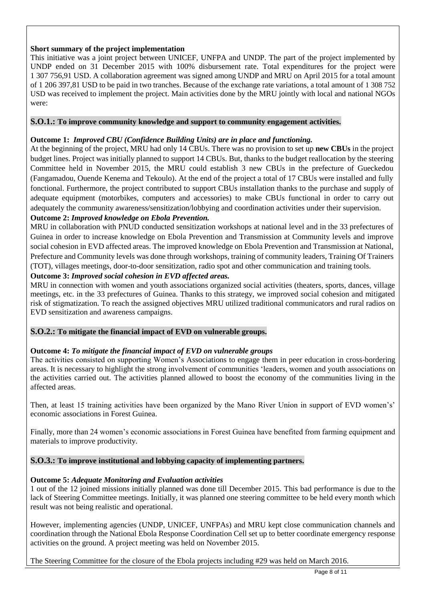# **Short summary of the project implementation**

This initiative was a joint project between UNICEF, UNFPA and UNDP. The part of the project implemented by UNDP ended on 31 December 2015 with 100% disbursement rate. Total expenditures for the project were 1 307 756,91 USD. A collaboration agreement was signed among UNDP and MRU on April 2015 for a total amount of 1 206 397,81 USD to be paid in two tranches. Because of the exchange rate variations, a total amount of 1 308 752 USD was received to implement the project. Main activities done by the MRU jointly with local and national NGOs were:

# **S.O.1.: To improve community knowledge and support to community engagement activities.**

# **Outcome 1:** *Improved CBU (Confidence Building Units) are in place and functioning.*

At the beginning of the project, MRU had only 14 CBUs. There was no provision to set up **new CBUs** in the project budget lines. Project was initially planned to support 14 CBUs. But, thanks to the budget reallocation by the steering Committee held in November 2015, the MRU could establish 3 new CBUs in the prefecture of Gueckedou (Fangamadou, Ouende Kenema and Tekoulo). At the end of the project a total of 17 CBUs were installed and fully fonctional. Furthermore, the project contributed to support CBUs installation thanks to the purchase and supply of adequate equipment (motorbikes, computers and accessories) to make CBUs functional in order to carry out adequately the community awareness/sensitization/lobbying and coordination activities under their supervision.

# **Outcome 2:** *Improved knowledge on Ebola Prevention.*

MRU in collaboration with PNUD conducted sensitization workshops at national level and in the 33 prefectures of Guinea in order to increase knowledge on Ebola Prevention and Transmission at Community levels and improve social cohesion in EVD affected areas. The improved knowledge on Ebola Prevention and Transmission at National, Prefecture and Community levels was done through workshops, training of community leaders, Training Of Trainers (TOT), villages meetings, door-to-door sensitization, radio spot and other communication and training tools.

# **Outcome 3:** *Improved social cohesion in EVD affected areas.*

MRU in connection with women and youth associations organized social activities (theaters, sports, dances, village meetings, etc. in the 33 prefectures of Guinea. Thanks to this strategy, we improved social cohesion and mitigated risk of stigmatization. To reach the assigned objectives MRU utilized traditional communicators and rural radios on EVD sensitization and awareness campaigns.

# **S.O.2.: To mitigate the financial impact of EVD on vulnerable groups.**

# **Outcome 4:** *To mitigate the financial impact of EVD on vulnerable groups*

The activities consisted on supporting Women's Associations to engage them in peer education in cross-bordering areas. It is necessary to highlight the strong involvement of communities 'leaders, women and youth associations on the activities carried out. The activities planned allowed to boost the economy of the communities living in the affected areas.

Then, at least 15 training activities have been organized by the Mano River Union in support of EVD women's' economic associations in Forest Guinea.

Finally, more than 24 women's economic associations in Forest Guinea have benefited from farming equipment and materials to improve productivity.

# **S.O.3.: To improve institutional and lobbying capacity of implementing partners.**

# **Outcome 5:** *Adequate Monitoring and Evaluation activities*

1 out of the 12 joined missions initially planned was done till December 2015. This bad performance is due to the lack of Steering Committee meetings. Initially, it was planned one steering committee to be held every month which result was not being realistic and operational.

However, implementing agencies (UNDP, UNICEF, UNFPAs) and MRU kept close communication channels and coordination through the National Ebola Response Coordination Cell set up to better coordinate emergency response activities on the ground. A project meeting was held on November 2015.

The Steering Committee for the closure of the Ebola projects including #29 was held on March 2016.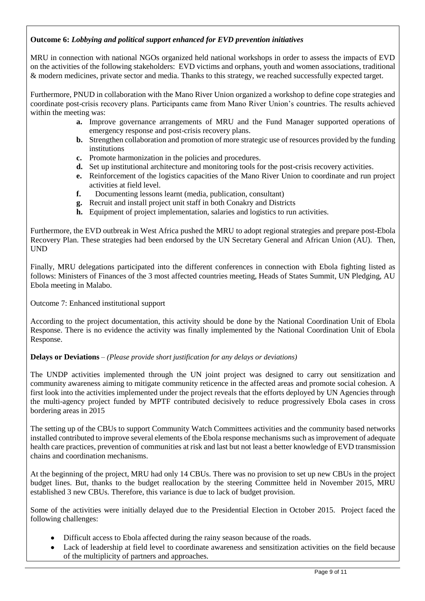# **Outcome 6:** *Lobbying and political support enhanced for EVD prevention initiatives*

MRU in connection with national NGOs organized held national workshops in order to assess the impacts of EVD on the activities of the following stakeholders: EVD victims and orphans, youth and women associations, traditional & modern medicines, private sector and media. Thanks to this strategy, we reached successfully expected target.

Furthermore, PNUD in collaboration with the Mano River Union organized a workshop to define cope strategies and coordinate post-crisis recovery plans. Participants came from Mano River Union's countries. The results achieved within the meeting was:

- **a.** Improve governance arrangements of MRU and the Fund Manager supported operations of emergency response and post-crisis recovery plans.
- **b.** Strengthen collaboration and promotion of more strategic use of resources provided by the funding institutions
- **c.** Promote harmonization in the policies and procedures.
- **d.** Set up institutional architecture and monitoring tools for the post-crisis recovery activities.
- **e.** Reinforcement of the logistics capacities of the Mano River Union to coordinate and run project activities at field level.
- **f.** Documenting lessons learnt (media, publication, consultant)
- **g.** Recruit and install project unit staff in both Conakry and Districts
- **h.** Equipment of project implementation, salaries and logistics to run activities.

Furthermore, the EVD outbreak in West Africa pushed the MRU to adopt regional strategies and prepare post-Ebola Recovery Plan. These strategies had been endorsed by the UN Secretary General and African Union (AU). Then, UND

Finally, MRU delegations participated into the different conferences in connection with Ebola fighting listed as follows: Ministers of Finances of the 3 most affected countries meeting, Heads of States Summit, UN Pledging, AU Ebola meeting in Malabo.

Outcome 7: Enhanced institutional support

According to the project documentation, this activity should be done by the National Coordination Unit of Ebola Response. There is no evidence the activity was finally implemented by the National Coordination Unit of Ebola Response.

# **Delays or Deviations** *– (Please provide short justification for any delays or deviations)*

The UNDP activities implemented through the UN joint project was designed to carry out sensitization and community awareness aiming to mitigate community reticence in the affected areas and promote social cohesion. A first look into the activities implemented under the project reveals that the efforts deployed by UN Agencies through the multi-agency project funded by MPTF contributed decisively to reduce progressively Ebola cases in cross bordering areas in 2015

The setting up of the CBUs to support Community Watch Committees activities and the community based networks installed contributed to improve several elements of the Ebola response mechanisms such as improvement of adequate health care practices, prevention of communities at risk and last but not least a better knowledge of EVD transmission chains and coordination mechanisms.

At the beginning of the project, MRU had only 14 CBUs. There was no provision to set up new CBUs in the project budget lines. But, thanks to the budget reallocation by the steering Committee held in November 2015, MRU established 3 new CBUs. Therefore, this variance is due to lack of budget provision.

Some of the activities were initially delayed due to the Presidential Election in October 2015. Project faced the following challenges:

- Difficult access to Ebola affected during the rainy season because of the roads.
- Lack of leadership at field level to coordinate awareness and sensitization activities on the field because of the multiplicity of partners and approaches.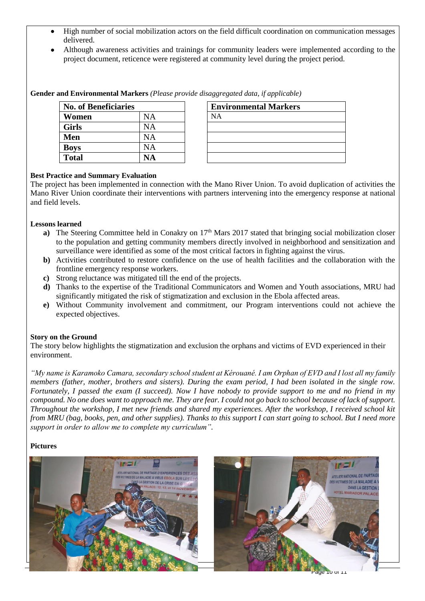- High number of social mobilization actors on the field difficult coordination on communication messages delivered.
- Although awareness activities and trainings for community leaders were implemented according to the project document, reticence were registered at community level during the project period.

## **Gender and Environmental Markers** *(Please provide disaggregated data, if applicable)*

| <b>No. of Beneficiaries</b> |    | <b>Environmental Markers</b> |
|-----------------------------|----|------------------------------|
| Women                       | NA | NΑ                           |
| <b>Girls</b>                | NА |                              |
| Men                         | NA |                              |
| <b>Boys</b>                 | NA |                              |
| <b>Total</b>                | VА |                              |

| <b>Environmental Markers</b> |
|------------------------------|
| <b>NA</b>                    |
|                              |
|                              |
|                              |
|                              |

## **Best Practice and Summary Evaluation**

The project has been implemented in connection with the Mano River Union. To avoid duplication of activities the Mano River Union coordinate their interventions with partners intervening into the emergency response at national and field levels.

## **Lessons learned**

- **a**) The Steering Committee held in Conakry on 17<sup>th</sup> Mars 2017 stated that bringing social mobilization closer to the population and getting community members directly involved in neighborhood and sensitization and surveillance were identified as some of the most critical factors in fighting against the virus.
- **b)** Activities contributed to restore confidence on the use of health facilities and the collaboration with the frontline emergency response workers.
- **c)** Strong reluctance was mitigated till the end of the projects.
- **d)** Thanks to the expertise of the Traditional Communicators and Women and Youth associations, MRU had significantly mitigated the risk of stigmatization and exclusion in the Ebola affected areas.
- **e)** Without Community involvement and commitment, our Program interventions could not achieve the expected objectives.

## **Story on the Ground**

The story below highlights the stigmatization and exclusion the orphans and victims of EVD experienced in their environment.

*"My name is Karamoko Camara, secondary school student at Kérouané. I am Orphan of EVD and I lost all my family members (father, mother, brothers and sisters). During the exam period, I had been isolated in the single row. Fortunately, I passed the exam (I succeed). Now I have nobody to provide support to me and no friend in my compound. No one does want to approach me. They are fear. I could not go back to school because of lack of support. Throughout the workshop, I met new friends and shared my experiences. After the workshop, I received school kit from MRU (bag, books, pen, and other supplies). Thanks to this support I can start going to school. But I need more support in order to allow me to complete my curriculum".*

## **Pictures**